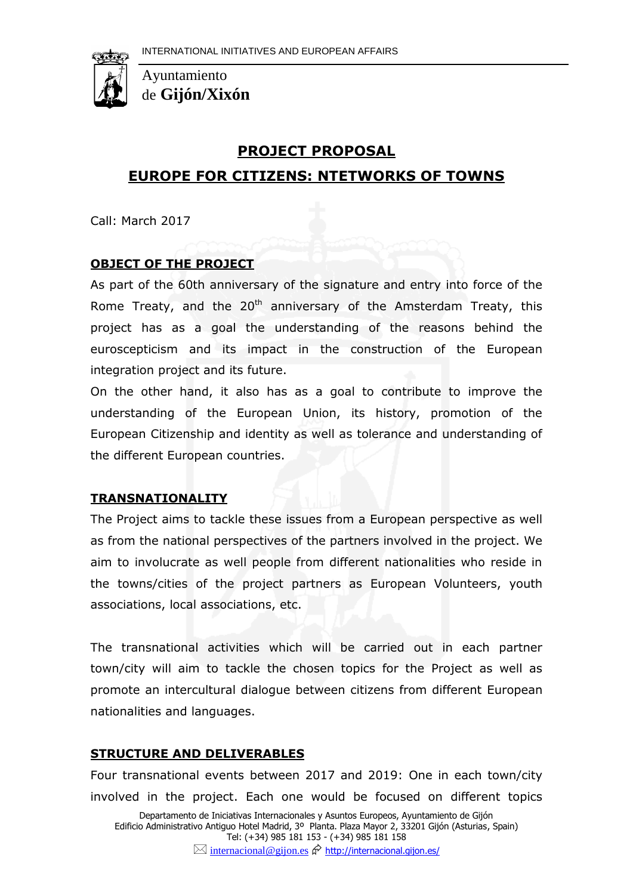

Ayuntamiento de **Gijón/Xixón**

## **PROJECT PROPOSAL**

# **EUROPE FOR CITIZENS: NTETWORKS OF TOWNS**

Call: March 2017

## **OBJECT OF THE PROJECT**

As part of the 60th anniversary of the signature and entry into force of the Rome Treaty, and the  $20<sup>th</sup>$  anniversary of the Amsterdam Treaty, this project has as a goal the understanding of the reasons behind the euroscepticism and its impact in the construction of the European integration project and its future.

On the other hand, it also has as a goal to contribute to improve the understanding of the European Union, its history, promotion of the European Citizenship and identity as well as tolerance and understanding of the different European countries.

### **TRANSNATIONALITY**

The Project aims to tackle these issues from a European perspective as well as from the national perspectives of the partners involved in the project. We aim to involucrate as well people from different nationalities who reside in the towns/cities of the project partners as European Volunteers, youth associations, local associations, etc.

The transnational activities which will be carried out in each partner town/city will aim to tackle the chosen topics for the Project as well as promote an intercultural dialogue between citizens from different European nationalities and languages.

#### **STRUCTURE AND DELIVERABLES**

Departamento de Iniciativas Internacionales y Asuntos Europeos, Ayuntamiento de Gijón Four transnational events between 2017 and 2019: One in each town/city involved in the project. Each one would be focused on different topics